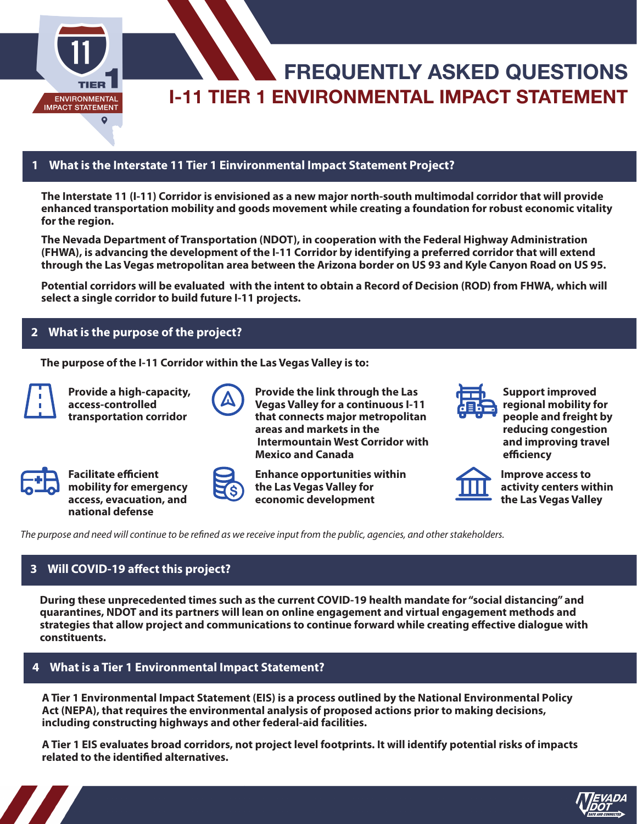

# I-11 TIER 1 ENVIRONMENTAL IMPACT STATEMENT FREQUENTLY ASKED QUESTIONS

#### **1 What is the Interstate 11 Tier 1 Einvironmental Impact Statement Project?**

**The Interstate 11 (I-11) Corridor is envisioned as a new major north-south multimodal corridor that will provide enhanced transportation mobility and goods movement while creating a foundation for robust economic vitality for the region.** 

**The Nevada Department of Transportation (NDOT), in cooperation with the Federal Highway Administration (FHWA), is advancing the development of the I-11 Corridor by identifying a preferred corridor that will extend through the Las Vegas metropolitan area between the Arizona border on US 93 and Kyle Canyon Road on US 95.** 

**Potential corridors will be evaluated with the intent to obtain a Record of Decision (ROD) from FHWA, which will select a single corridor to build future I-11 projects.** 

## **2 What is the purpose of the project?**

**The purpose of the I-11 Corridor within the Las Vegas Valley is to:** 

**Provide a high-capacity, access-controlled transportation corridor**

**Provide the link through the Las Vegas Valley for a continuous I-11 that connects major metropolitan areas and markets in the Intermountain West Corridor with Mexico and Canada**

|    | <b>Facilitate efficient</b> |
|----|-----------------------------|
| لہ | mobility for emergency      |
|    | access, evacuation, and     |
|    | national defense            |

**Enhance opportunities within** 

**the Las Vegas Valley for economic development**



**Support improved regional mobility for people and freight by reducing congestion and improving travel efficiency** 



**Improve access to activity centers within the Las Vegas Valley**

*The purpose and need will continue to be rened as we receive input from the public, agencies, and other stakeholders.*

## **3** Will COVID-19 affect this project?

**During these unprecedented times such as the current COVID-19 health mandate for "social distancing" and quarantines, NDOT and its partners will lean on online engagement and virtual engagement methods and**  strategies that allow project and communications to continue forward while creating effective dialogue with **constituents.**

#### **4 What is a Tier 1 Environmental Impact Statement?**

**A Tier 1 Environmental Impact Statement (EIS) is a process outlined by the National Environmental Policy Act (NEPA), that requires the environmental analysis of proposed actions prior to making decisions, including constructing highways and other federal-aid facilities.** 

**A Tier 1 EIS evaluates broad corridors, not project level footprints. It will identify potential risks of impacts related to the identified alternatives.**